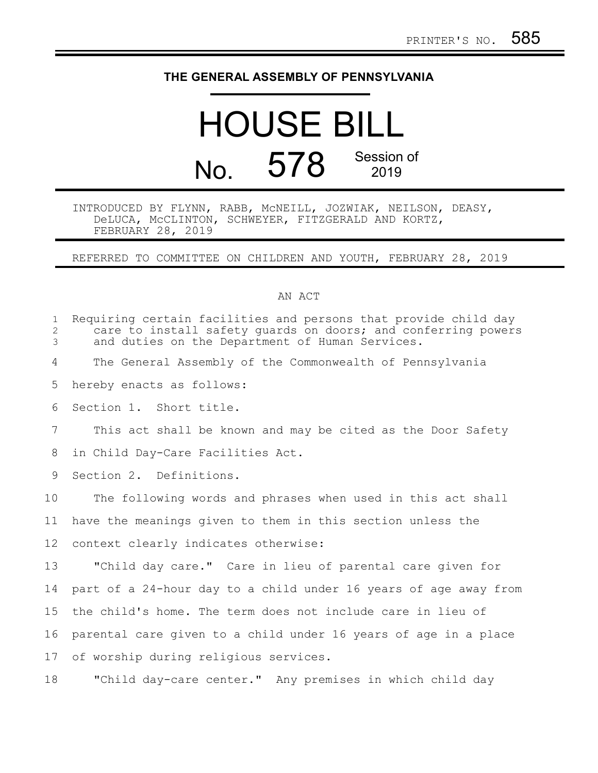## **THE GENERAL ASSEMBLY OF PENNSYLVANIA**

# HOUSE BILL No. 578 Session of 2019

### INTRODUCED BY FLYNN, RABB, McNEILL, JOZWIAK, NEILSON, DEASY, DeLUCA, McCLINTON, SCHWEYER, FITZGERALD AND KORTZ, FEBRUARY 28, 2019

REFERRED TO COMMITTEE ON CHILDREN AND YOUTH, FEBRUARY 28, 2019

#### AN ACT

| $\mathbf{1}$<br>$\mathbf{2}$<br>3 | Requiring certain facilities and persons that provide child day<br>care to install safety quards on doors; and conferring powers<br>and duties on the Department of Human Services. |
|-----------------------------------|-------------------------------------------------------------------------------------------------------------------------------------------------------------------------------------|
| 4                                 | The General Assembly of the Commonwealth of Pennsylvania                                                                                                                            |
| 5                                 | hereby enacts as follows:                                                                                                                                                           |
| 6                                 | Section 1. Short title.                                                                                                                                                             |
| 7                                 | This act shall be known and may be cited as the Door Safety                                                                                                                         |
| 8                                 | in Child Day-Care Facilities Act.                                                                                                                                                   |
| 9                                 | Section 2. Definitions.                                                                                                                                                             |
| 10                                | The following words and phrases when used in this act shall                                                                                                                         |
| 11                                | have the meanings given to them in this section unless the                                                                                                                          |
| 12 <sup>°</sup>                   | context clearly indicates otherwise:                                                                                                                                                |
| 13                                | "Child day care." Care in lieu of parental care given for                                                                                                                           |
| 14                                | part of a 24-hour day to a child under 16 years of age away from                                                                                                                    |
| 15                                | the child's home. The term does not include care in lieu of                                                                                                                         |
| 16                                | parental care given to a child under 16 years of age in a place                                                                                                                     |
| 17                                | of worship during religious services.                                                                                                                                               |
| 18                                | "Child day-care center." Any premises in which child day                                                                                                                            |